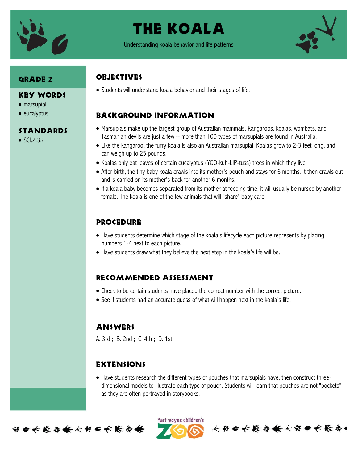

## The Koala

Understanding koala behavior and life patterns



### Grade 2

#### Key Words

- marsupial
- $\bullet$  eucalyptus

#### STANDARDS

 $\bullet$  SCI.2.3.2

### **OBJECTIVES**

Students will understand koala behavior and their stages of life.

## Background information

- Marsupials make up the largest group of Australian mammals. Kangaroos, koalas, wombats, and Tasmanian devils are just a few -- more than 100 types of marsupials are found in Australia.
- Like the kangaroo, the furry koala is also an Australian marsupial. Koalas grow to 2-3 feet long, and can weigh up to 25 pounds.
- Koalas only eat leaves of certain eucalyptus (YOO-kuh-LIP-tuss) trees in which they live.
- After birth, the tiny baby koala crawls into its mother's pouch and stays for 6 months. It then crawls out and is carried on its mother's back for another 6 months.
- If a koala baby becomes separated from its mother at feeding time, it will usually be nursed by another female. The koala is one of the few animals that will "share" baby care.

#### **PROCEDURE**

- Have students determine which stage of the koala's lifecycle each picture represents by placing numbers 1-4 next to each picture.
- Have students draw what they believe the next step in the koala's life will be.

#### Recommended assessment

- Check to be certain students have placed the correct number with the correct picture.
- See if students had an accurate guess of what will happen next in the koala's life.

#### **ANSWERS**

A. 3rd ; B. 2nd ; C. 4th ; D. 1st

#### Extensions

 Have students research the different types of pouches that marsupials have, then construct threedimensional models to illustrate each type of pouch. Students will learn that pouches are not "pockets" as they are often portrayed in storybooks.



ført wayne children's 长节6长能与长长节6长能与1